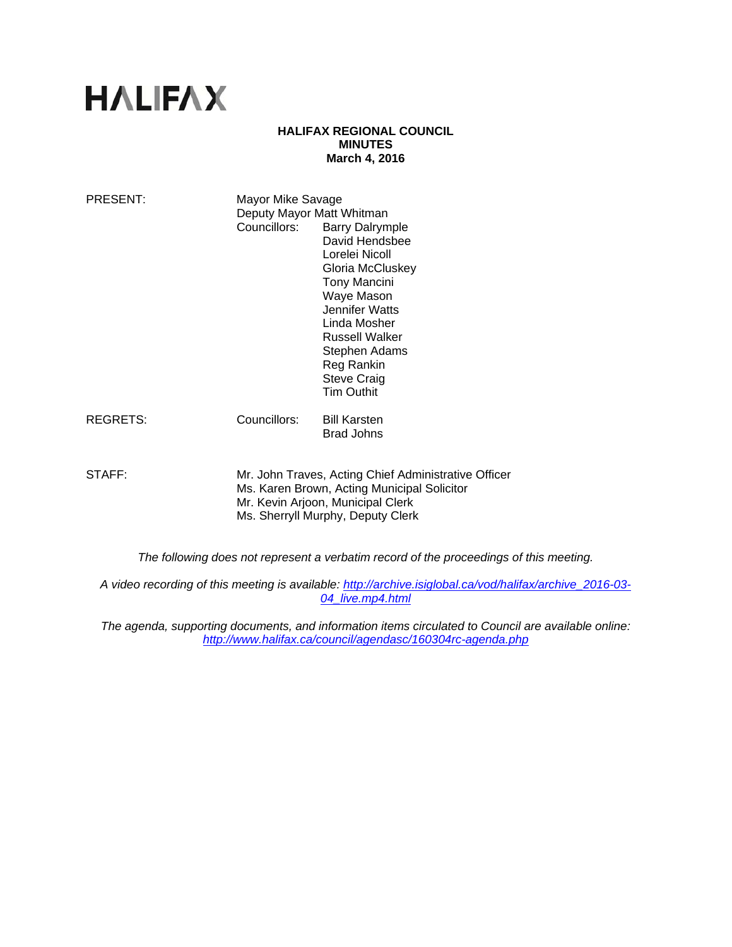# **HALIFAX**

#### **HALIFAX REGIONAL COUNCIL MINUTES March 4, 2016**

| PRESENT:                                                                               | Mayor Mike Savage<br>Deputy Mayor Matt Whitman<br>Councillors:                                                                                                                | <b>Barry Dalrymple</b><br>David Hendsbee<br>Lorelei Nicoll<br>Gloria McCluskey<br>Tony Mancini<br>Waye Mason<br>Jennifer Watts<br>Linda Mosher<br><b>Russell Walker</b><br>Stephen Adams<br>Reg Rankin<br><b>Steve Craig</b><br><b>Tim Outhit</b> |
|----------------------------------------------------------------------------------------|-------------------------------------------------------------------------------------------------------------------------------------------------------------------------------|---------------------------------------------------------------------------------------------------------------------------------------------------------------------------------------------------------------------------------------------------|
| REGRETS:                                                                               | Councillors:                                                                                                                                                                  | <b>Bill Karsten</b><br><b>Brad Johns</b>                                                                                                                                                                                                          |
| STAFF:                                                                                 | Mr. John Traves, Acting Chief Administrative Officer<br>Ms. Karen Brown, Acting Municipal Solicitor<br>Mr. Kevin Arjoon, Municipal Clerk<br>Ms. Sherryll Murphy, Deputy Clerk |                                                                                                                                                                                                                                                   |
| The following does not represent a verbatim record of the proceedings of this meeting. |                                                                                                                                                                               |                                                                                                                                                                                                                                                   |

*A video recording of this meeting is available: http://archive.isiglobal.ca/vod/halifax/archive\_2016-03- 04\_live.mp4.html* 

*The agenda, supporting documents, and information items circulated to Council are available online: http://www.halifax.ca/council/agendasc/160304rc-agenda.php*